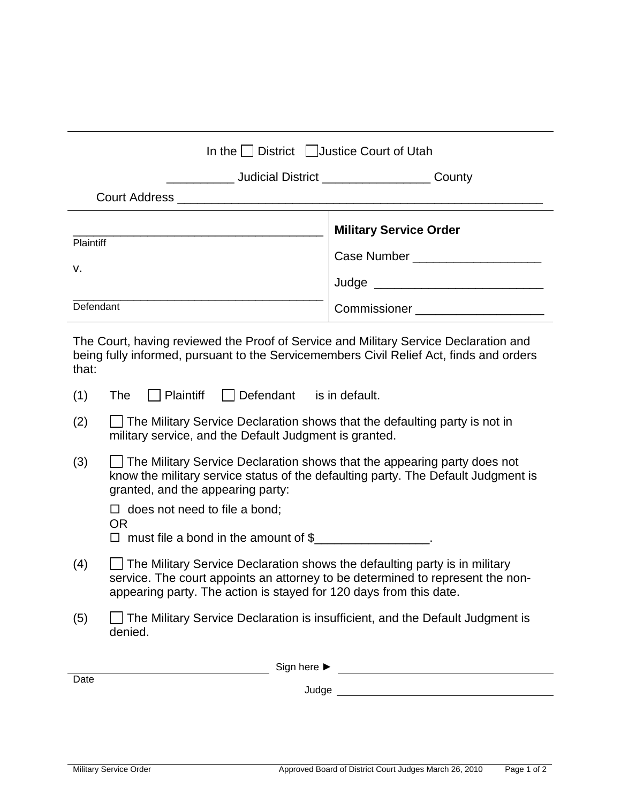| In the District Justice Court of Utah |                                                                     |  |  |
|---------------------------------------|---------------------------------------------------------------------|--|--|
|                                       | County<br>Judicial District ______________________                  |  |  |
|                                       |                                                                     |  |  |
| Plaintiff<br>v.                       | <b>Military Service Order</b><br>Case Number ______________________ |  |  |
| Defendant                             | <b>Commissioner Commissioner</b>                                    |  |  |

The Court, having reviewed the Proof of Service and Military Service Declaration and being fully informed, pursuant to the Servicemembers Civil Relief Act, finds and orders that:

- $(1)$  The **Plaintiff** Defendant is in default.
- $(2)$  The Military Service Declaration shows that the defaulting party is not in military service, and the Default Judgment is granted.
- (3) The Military Service Declaration shows that the appearing party does not know the military service status of the defaulting party. The Default Judgment is granted, and the appearing party:

 $\Box$  does not need to file a bond; OR

 $\Box$  must file a bond in the amount of  $\$\_\_$ 

- $(4)$  The Military Service Declaration shows the defaulting party is in military service. The court appoints an attorney to be determined to represent the nonappearing party. The action is stayed for 120 days from this date.
- (5) The Military Service Declaration is insufficient, and the Default Judgment is denied.

|      | Sign here $\blacktriangleright$ |
|------|---------------------------------|
| Date |                                 |
|      | Judge                           |